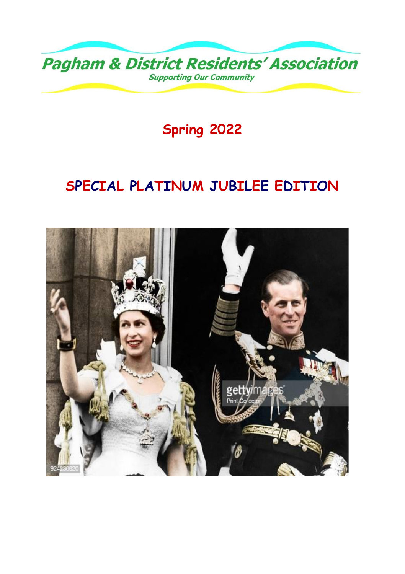

**Spring 2022**

## **SPECIAL PLATINUM JUBILEE EDITION**

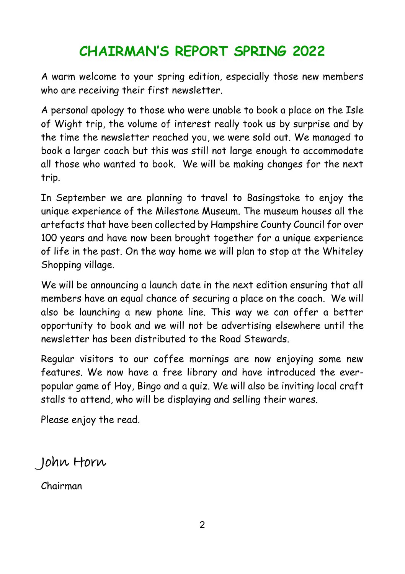## **CHAIRMAN'S REPORT SPRING 2022**

A warm welcome to your spring edition, especially those new members who are receiving their first newsletter.

A personal apology to those who were unable to book a place on the Isle of Wight trip, the volume of interest really took us by surprise and by the time the newsletter reached you, we were sold out. We managed to book a larger coach but this was still not large enough to accommodate all those who wanted to book. We will be making changes for the next trip.

In September we are planning to travel to Basingstoke to enjoy the unique experience of the Milestone Museum. The museum houses all the artefacts that have been collected by Hampshire County Council for over 100 years and have now been brought together for a unique experience of life in the past. On the way home we will plan to stop at the Whiteley Shopping village.

We will be announcing a launch date in the next edition ensuring that all members have an equal chance of securing a place on the coach. We will also be launching a new phone line. This way we can offer a better opportunity to book and we will not be advertising elsewhere until the newsletter has been distributed to the Road Stewards.

Regular visitors to our coffee mornings are now enjoying some new features. We now have a free library and have introduced the everpopular game of Hoy, Bingo and a quiz. We will also be inviting local craft stalls to attend, who will be displaying and selling their wares.

Please enjoy the read.

John Horn

Chairman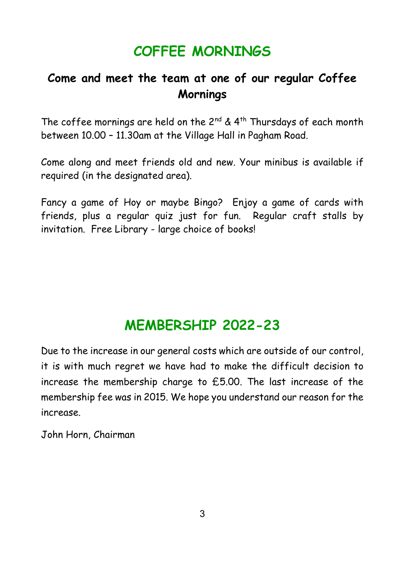### **COFFEE MORNINGS**

### **Come and meet the team at one of our regular Coffee Mornings**

The coffee mornings are held on the  $2^{nd}$  &  $4^{th}$  Thursdays of each month between 10.00 – 11.30am at the Village Hall in Pagham Road.

Come along and meet friends old and new. Your minibus is available if required (in the designated area).

Fancy a game of Hoy or maybe Bingo? Enjoy a game of cards with friends, plus a regular quiz just for fun. Regular craft stalls by invitation. Free Library - large choice of books!

### **MEMBERSHIP 2022-23**

Due to the increase in our general costs which are outside of our control, it is with much regret we have had to make the difficult decision to increase the membership charge to £5.00. The last increase of the membership fee was in 2015. We hope you understand our reason for the increase.

John Horn, Chairman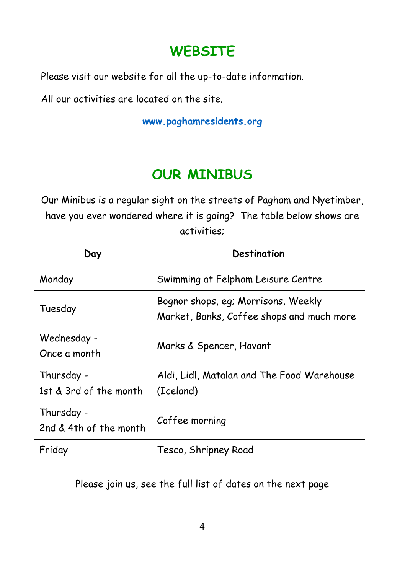### **WEBSITE**

Please visit our website for all the up-to-date information.

All our activities are located on the site.

**[www.paghamresidents.org](http://www.paghamresidents.org/)**

## **OUR MINIBUS**

Our Minibus is a regular sight on the streets of Pagham and Nyetimber, have you ever wondered where it is going? The table below shows are activities;

| Day                                  | Destination                                                                      |
|--------------------------------------|----------------------------------------------------------------------------------|
| Monday                               | Swimming at Felpham Leisure Centre                                               |
| Tuesday                              | Bognor shops, eg; Morrisons, Weekly<br>Market, Banks, Coffee shops and much more |
| Wednesday -<br>Once a month          | Marks & Spencer, Havant                                                          |
| Thursday -<br>1st & 3rd of the month | Aldi, Lidl, Matalan and The Food Warehouse<br>(Iceland)                          |
| Thursday -<br>2nd & 4th of the month | Coffee morning                                                                   |
| Friday                               | Tesco, Shripney Road                                                             |

Please join us, see the full list of dates on the next page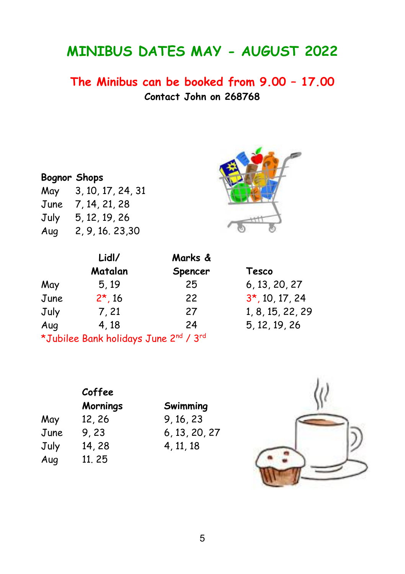### **MINIBUS DATES MAY - AUGUST 2022**

**The Minibus can be booked from 9.00 – 17.00 Contact John on 268768**

#### **Bognor Shops**

| May  | 3, 10, 17, 24, 31 |
|------|-------------------|
| June | 7, 14, 21, 28     |
| July | 5, 12, 19, 26     |
| Aug  | 2, 9, 16, 23, 30  |



|      | Lidl/                                 | Marks & |                   |  |
|------|---------------------------------------|---------|-------------------|--|
|      | Matalan                               | Spencer | Tesco             |  |
| May  | 5,19                                  | 25      | 6, 13, 20, 27     |  |
| June | $2*, 16$                              | 22      | $3*$ , 10, 17, 24 |  |
| July | 7, 21                                 | 27      | 1, 8, 15, 22, 29  |  |
| Aug  | 4, 18                                 | 24      | 5, 12, 19, 26     |  |
|      | *Jubilee Bank holidays June 2nd / 3rd |         |                   |  |

|      | Coffee          |               |  |
|------|-----------------|---------------|--|
|      | <b>Mornings</b> | Swimming      |  |
| May  | 12, 26          | 9, 16, 23     |  |
| June | 9,23            | 6, 13, 20, 27 |  |
| July | 14, 28          | 4, 11, 18     |  |
| Aug  | 11, 25          |               |  |

| Mornings | Swimming      |
|----------|---------------|
| 12, 26   | 9, 16, 23     |
| 9, 23    | 6, 13, 20, 27 |
| 14, 28   | 4, 11, 18     |
|          |               |

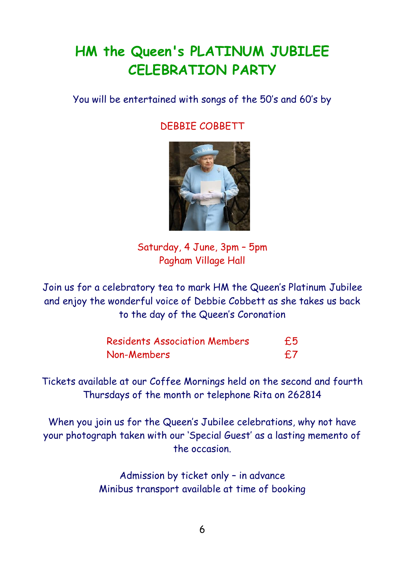## **HM the Queen's PLATINUM JUBILEE CELEBRATION PARTY**

You will be entertained with songs of the 50's and 60's by

DEBBIE COBBETT



Saturday, 4 June, 3pm – 5pm Pagham Village Hall

Join us for a celebratory tea to mark HM the Queen's Platinum Jubilee and enjoy the wonderful voice of Debbie Cobbett as she takes us back to the day of the Queen's Coronation

| <b>Residents Association Members</b> | £5 |
|--------------------------------------|----|
| Non-Members                          | £7 |

Tickets available at our Coffee Mornings held on the second and fourth Thursdays of the month or telephone Rita on 262814

When you join us for the Queen's Jubilee celebrations, why not have your photograph taken with our 'Special Guest' as a lasting memento of the occasion.

> Admission by ticket only – in advance Minibus transport available at time of booking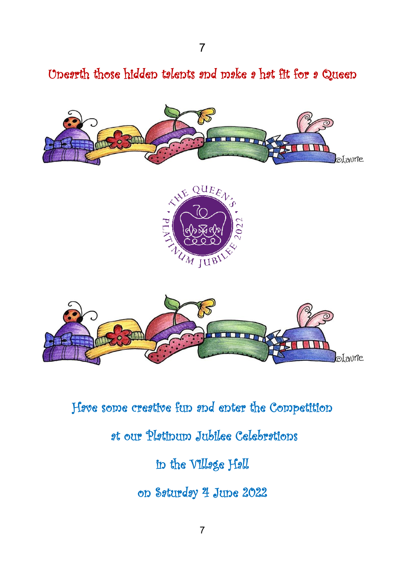Unearth those hidden talents and make a hat fit for a Queen







Have some creative fun and enter the Competition

### at our Platinum Jubilee Celebrations

### in the Village Hall

on Saturday 4 June 2022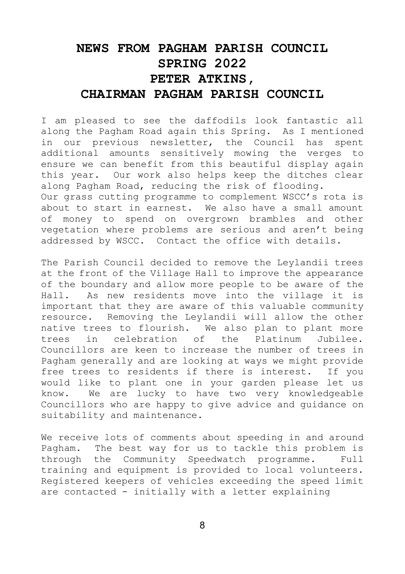#### **NEWS FROM PAGHAM PARISH COUNCIL SPRING 2022 PETER ATKINS, CHAIRMAN PAGHAM PARISH COUNCIL**

I am pleased to see the daffodils look fantastic all along the Pagham Road again this Spring. As I mentioned in our previous newsletter, the Council has spent additional amounts sensitively mowing the verges to ensure we can benefit from this beautiful display again this year. Our work also helps keep the ditches clear along Pagham Road, reducing the risk of flooding. Our grass cutting programme to complement WSCC's rota is about to start in earnest. We also have a small amount of money to spend on overgrown brambles and other vegetation where problems are serious and aren't being addressed by WSCC. Contact the office with details.

The Parish Council decided to remove the Leylandii trees at the front of the Village Hall to improve the appearance of the boundary and allow more people to be aware of the Hall. As new residents move into the village it is important that they are aware of this valuable community resource. Removing the Leylandii will allow the other native trees to flourish. We also plan to plant more trees in celebration of the Platinum Jubilee. Councillors are keen to increase the number of trees in Pagham generally and are looking at ways we might provide free trees to residents if there is interest. If you would like to plant one in your garden please let us know. We are lucky to have two very knowledgeable Councillors who are happy to give advice and guidance on suitability and maintenance.

We receive lots of comments about speeding in and around Pagham. The best way for us to tackle this problem is through the Community Speedwatch programme. Full training and equipment is provided to local volunteers. Registered keepers of vehicles exceeding the speed limit are contacted - initially with a letter explaining

8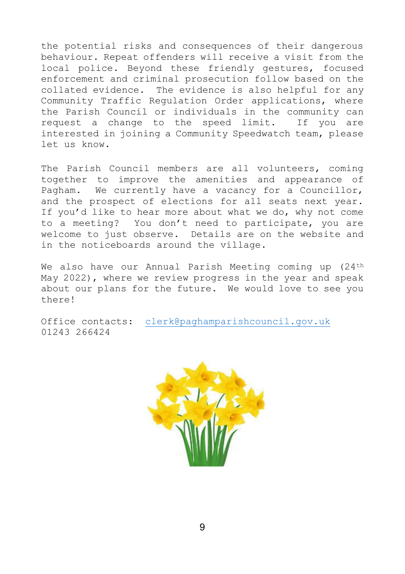the potential risks and consequences of their dangerous behaviour. Repeat offenders will receive a visit from the local police. Beyond these friendly gestures, focused enforcement and criminal prosecution follow based on the collated evidence. The evidence is also helpful for any Community Traffic Regulation Order applications, where the Parish Council or individuals in the community can request a change to the speed limit. If you are interested in joining a Community Speedwatch team, please let us know.

The Parish Council members are all volunteers, coming together to improve the amenities and appearance of Pagham. We currently have a vacancy for a Councillor, and the prospect of elections for all seats next year. If you'd like to hear more about what we do, why not come to a meeting? You don't need to participate, you are welcome to just observe. Details are on the website and in the noticeboards around the village.

We also have our Annual Parish Meeting coming up (24<sup>th</sup> May 2022), where we review progress in the year and speak about our plans for the future. We would love to see you there!

Office contacts: [clerk@paghamparishcouncil.gov.uk](mailto:clerk@paghamparishcouncil.gov.uk)  01243 266424

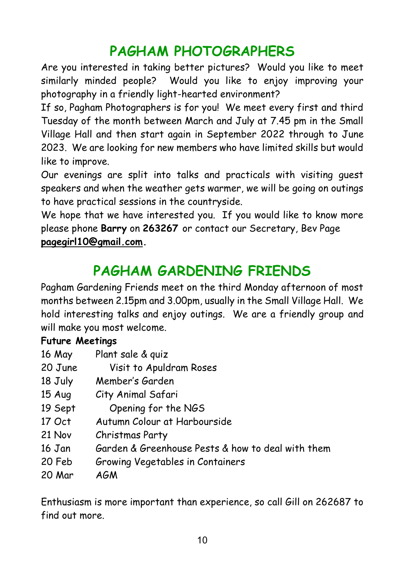## **PAGHAM PHOTOGRAPHERS**

Are you interested in taking better pictures? Would you like to meet similarly minded people? Would you like to enjoy improving your photography in a friendly light-hearted environment?

If so, Pagham Photographers is for you! We meet every first and third Tuesday of the month between March and July at 7.45 pm in the Small Village Hall and then start again in September 2022 through to June 2023. We are looking for new members who have limited skills but would like to improve.

Our evenings are split into talks and practicals with visiting guest speakers and when the weather gets warmer, we will be going on outings to have practical sessions in the countryside.

We hope that we have interested you. If you would like to know more please phone **Barry** on **263267** or contact our Secretary, Bev Page **[pagegirl10@gmail.com.](mailto:pagegirl10@gmail.com)**

## **PAGHAM GARDENING FRIENDS**

Pagham Gardening Friends meet on the third Monday afternoon of most months between 2.15pm and 3.00pm, usually in the Small Village Hall. We hold interesting talks and enjoy outings. We are a friendly group and will make you most welcome.

#### **Future Meetings**

- 16 May Plant sale & quiz
- 20 June Visit to Apuldram Roses
- 18 July Member's Garden
- 15 Aug City Animal Safari
- 19 Sept Opening for the NGS
- 17 Oct Autumn Colour at Harbourside
- 21 Nov Christmas Party
- 16 Jan Garden & Greenhouse Pests & how to deal with them
- 20 Feb Growing Vegetables in Containers
- 20 Mar AGM

Enthusiasm is more important than experience, so call Gill on 262687 to find out more.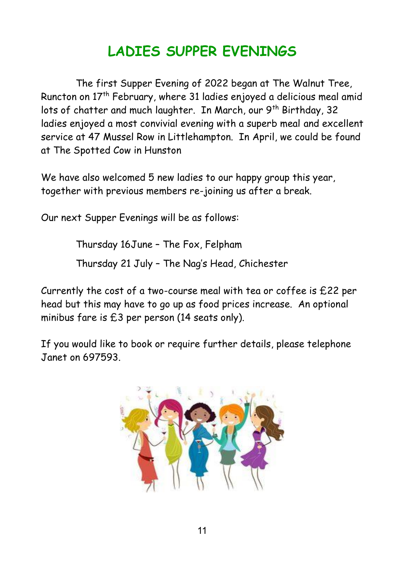# **LADIES SUPPER EVENINGS**

The first Supper Evening of 2022 began at The Walnut Tree, Runcton on 17th February, where 31 ladies enjoyed a delicious meal amid lots of chatter and much laughter. In March, our 9<sup>th</sup> Birthday, 32 ladies enjoyed a most convivial evening with a superb meal and excellent service at 47 Mussel Row in Littlehampton. In April, we could be found at The Spotted Cow in Hunston

We have also welcomed 5 new ladies to our happy group this year, together with previous members re-joining us after a break.

Our next Supper Evenings will be as follows:

Thursday 16June – The Fox, Felpham

Thursday 21 July – The Nag's Head, Chichester

Currently the cost of a two-course meal with tea or coffee is £22 per head but this may have to go up as food prices increase. An optional minibus fare is £3 per person (14 seats only).

If you would like to book or require further details, please telephone Janet on 697593.

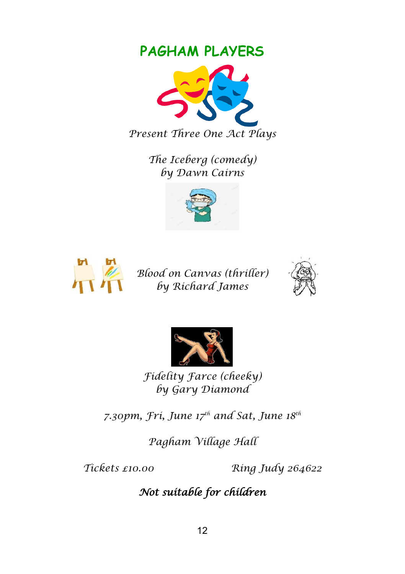### **PAGHAM PLAYERS**



*The Iceberg (comedy) by Dawn Cairns*





*Blood on Canvas (thriller) by Richard James*





*Fidelity Farce (cheeky) by Gary Diamond*

*7.30pm, Fri, June 17th and Sat, June 18th*

*Pagham Village Hall*

*Tickets £10.00 Ring Judy 264622*

### *Not suitable for children*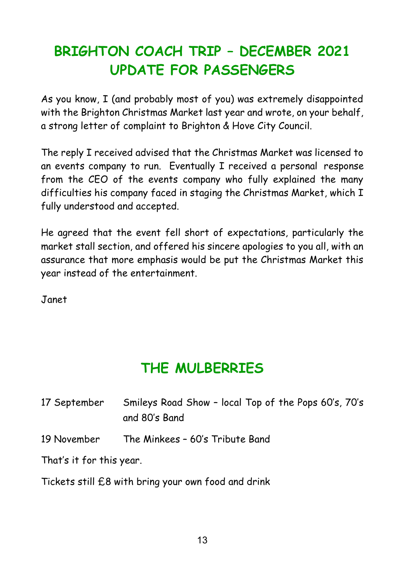# **BRIGHTON COACH TRIP – DECEMBER 2021 UPDATE FOR PASSENGERS**

As you know, I (and probably most of you) was extremely disappointed with the Brighton Christmas Market last year and wrote, on your behalf, a strong letter of complaint to Brighton & Hove City Council.

The reply I received advised that the Christmas Market was licensed to an events company to run. Eventually I received a personal response from the CEO of the events company who fully explained the many difficulties his company faced in staging the Christmas Market, which I fully understood and accepted.

He agreed that the event fell short of expectations, particularly the market stall section, and offered his sincere apologies to you all, with an assurance that more emphasis would be put the Christmas Market this year instead of the entertainment.

Janet

## **THE MULBERRIES**

| 17 September             | Smileys Road Show - local Top of the Pops 60's, 70's<br>and 80's Band |
|--------------------------|-----------------------------------------------------------------------|
| 19 November              | The Minkees - 60's Tribute Band                                       |
| That's it for this year. |                                                                       |

Tickets still £8 with bring your own food and drink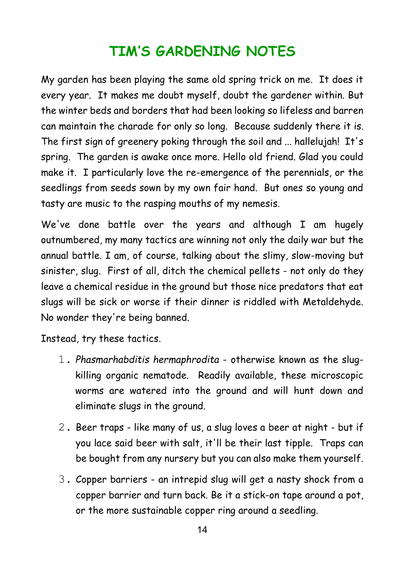## **TIM'S GARDENING NOTES**

My garden has been playing the same old spring trick on me. It does it every year. It makes me doubt myself, doubt the gardener within. But the winter beds and borders that had been looking so lifeless and barren can maintain the charade for only so long. Because suddenly there it is. The first sign of greenery poking through the soil and ... hallelujah! It's spring. The garden is awake once more. Hello old friend. Glad you could make it. I particularly love the re-emergence of the perennials, or the seedlings from seeds sown by my own fair hand. But ones so young and tasty are music to the rasping mouths of my nemesis.

We've done battle over the years and although I am hugely outnumbered, my many tactics are winning not only the daily war but the annual battle. I am, of course, talking about the slimy, slow-moving but sinister, slug. First of all, ditch the chemical pellets - not only do they leave a chemical residue in the ground but those nice predators that eat slugs will be sick or worse if their dinner is riddled with Metaldehyde. No wonder they're being banned.

Instead, try these tactics.

- 1. *Phasmarhabditis hermaphrodita* otherwise known as the slugkilling organic nematode. Readily available, these microscopic worms are watered into the ground and will hunt down and eliminate slugs in the ground.
- 2. Beer traps like many of us, a slug loves a beer at night but if you lace said beer with salt, it'll be their last tipple. Traps can be bought from any nursery but you can also make them yourself.
- 3. Copper barriers an intrepid slug will get a nasty shock from a copper barrier and turn back. Be it a stick-on tape around a pot, or the more sustainable copper ring around a seedling.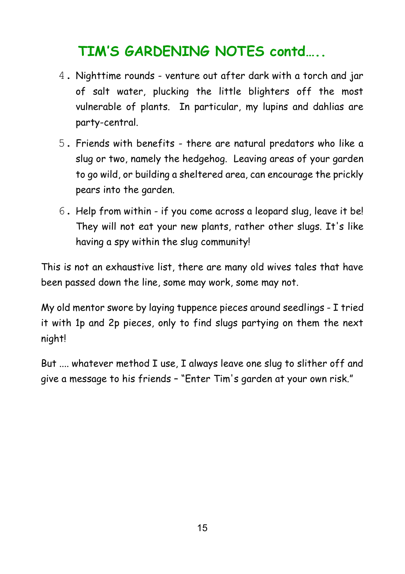## **TIM'S GARDENING NOTES contd…..**

- 4. Nighttime rounds venture out after dark with a torch and jar of salt water, plucking the little blighters off the most vulnerable of plants. In particular, my lupins and dahlias are party-central.
- 5. Friends with benefits there are natural predators who like a slug or two, namely the hedgehog. Leaving areas of your garden to go wild, or building a sheltered area, can encourage the prickly pears into the garden.
- 6. Help from within if you come across a leopard slug, leave it be! They will not eat your new plants, rather other slugs. It's like having a spy within the slug community!

This is not an exhaustive list, there are many old wives tales that have been passed down the line, some may work, some may not.

My old mentor swore by laying tuppence pieces around seedlings - I tried it with 1p and 2p pieces, only to find slugs partying on them the next night!

But .... whatever method I use, I always leave one slug to slither off and give a message to his friends – "Enter Tim's garden at your own risk."